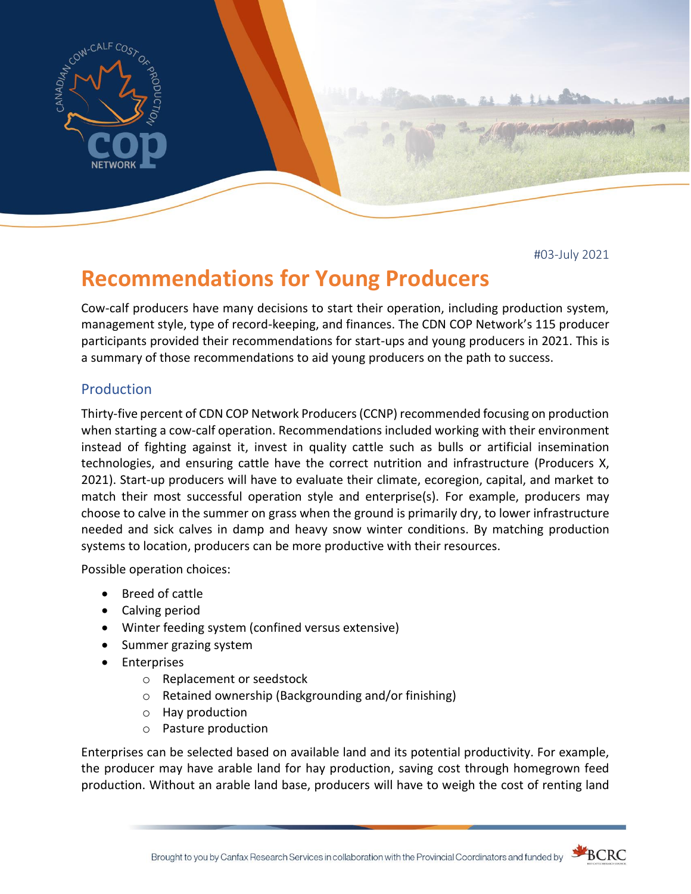

#03-July 2021

# **Recommendations for Young Producers**

Cow-calf producers have many decisions to start their operation, including production system, management style, type of record-keeping, and finances. The CDN COP Network's 115 producer participants provided their recommendations for start-ups and young producers in 2021. This is a summary of those recommendations to aid young producers on the path to success.

## Production

Thirty-five percent of CDN COP Network Producers (CCNP) recommended focusing on production when starting a cow-calf operation. Recommendations included working with their environment instead of fighting against it, invest in quality cattle such as bulls or artificial insemination technologies, and ensuring cattle have the correct nutrition and infrastructure (Producers X, 2021). Start-up producers will have to evaluate their climate, ecoregion, capital, and market to match their most successful operation style and enterprise(s). For example, producers may choose to calve in the summer on grass when the ground is primarily dry, to lower infrastructure needed and sick calves in damp and heavy snow winter conditions. By matching production systems to location, producers can be more productive with their resources.

Possible operation choices:

- Breed of cattle
- Calving period
- Winter feeding system (confined versus extensive)
- Summer grazing system
- Enterprises
	- o Replacement or seedstock
	- o Retained ownership (Backgrounding and/or finishing)
	- o Hay production
	- o Pasture production

Enterprises can be selected based on available land and its potential productivity. For example, the producer may have arable land for hay production, saving cost through homegrown feed production. Without an arable land base, producers will have to weigh the cost of renting land

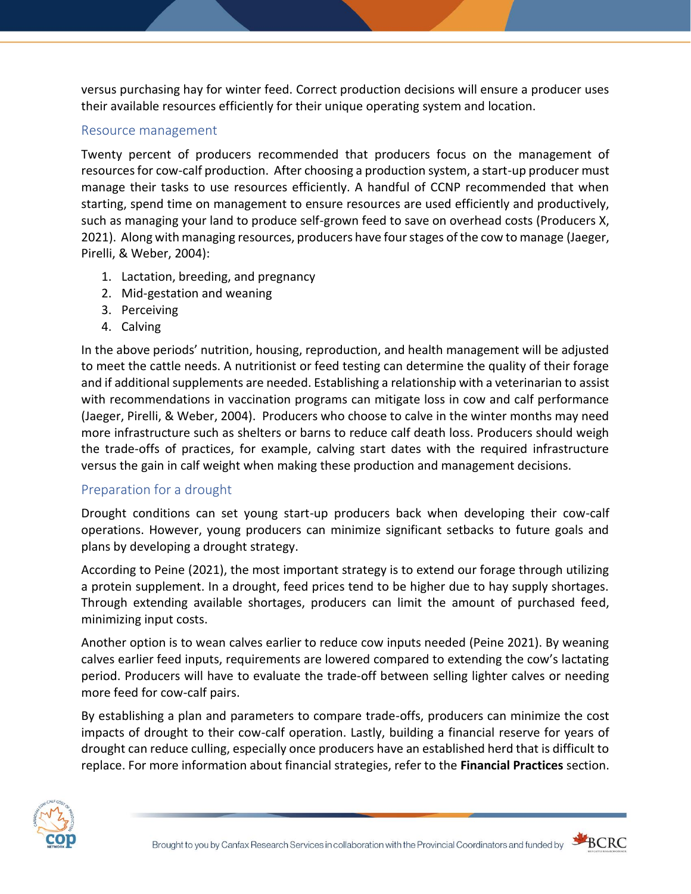versus purchasing hay for winter feed. Correct production decisions will ensure a producer uses their available resources efficiently for their unique operating system and location.

#### Resource management

Twenty percent of producers recommended that producers focus on the management of resources for cow-calf production. After choosing a production system, a start-up producer must manage their tasks to use resources efficiently. A handful of CCNP recommended that when starting, spend time on management to ensure resources are used efficiently and productively, such as managing your land to produce self-grown feed to save on overhead costs (Producers X, 2021). Along with managing resources, producers have four stages of the cow to manage (Jaeger, Pirelli, & Weber, 2004):

- 1. Lactation, breeding, and pregnancy
- 2. Mid-gestation and weaning
- 3. Perceiving
- 4. Calving

In the above periods' nutrition, housing, reproduction, and health management will be adjusted to meet the cattle needs. A nutritionist or feed testing can determine the quality of their forage and if additional supplements are needed. Establishing a relationship with a veterinarian to assist with recommendations in vaccination programs can mitigate loss in cow and calf performance (Jaeger, Pirelli, & Weber, 2004). Producers who choose to calve in the winter months may need more infrastructure such as shelters or barns to reduce calf death loss. Producers should weigh the trade-offs of practices, for example, calving start dates with the required infrastructure versus the gain in calf weight when making these production and management decisions.

## Preparation for a drought

Drought conditions can set young start-up producers back when developing their cow-calf operations. However, young producers can minimize significant setbacks to future goals and plans by developing a drought strategy.

According to Peine (2021), the most important strategy is to extend our forage through utilizing a protein supplement. In a drought, feed prices tend to be higher due to hay supply shortages. Through extending available shortages, producers can limit the amount of purchased feed, minimizing input costs.

Another option is to wean calves earlier to reduce cow inputs needed (Peine 2021). By weaning calves earlier feed inputs, requirements are lowered compared to extending the cow's lactating period. Producers will have to evaluate the trade-off between selling lighter calves or needing more feed for cow-calf pairs.

By establishing a plan and parameters to compare trade-offs, producers can minimize the cost impacts of drought to their cow-calf operation. Lastly, building a financial reserve for years of drought can reduce culling, especially once producers have an established herd that is difficult to replace. For more information about financial strategies, refer to the **Financial Practices** section.





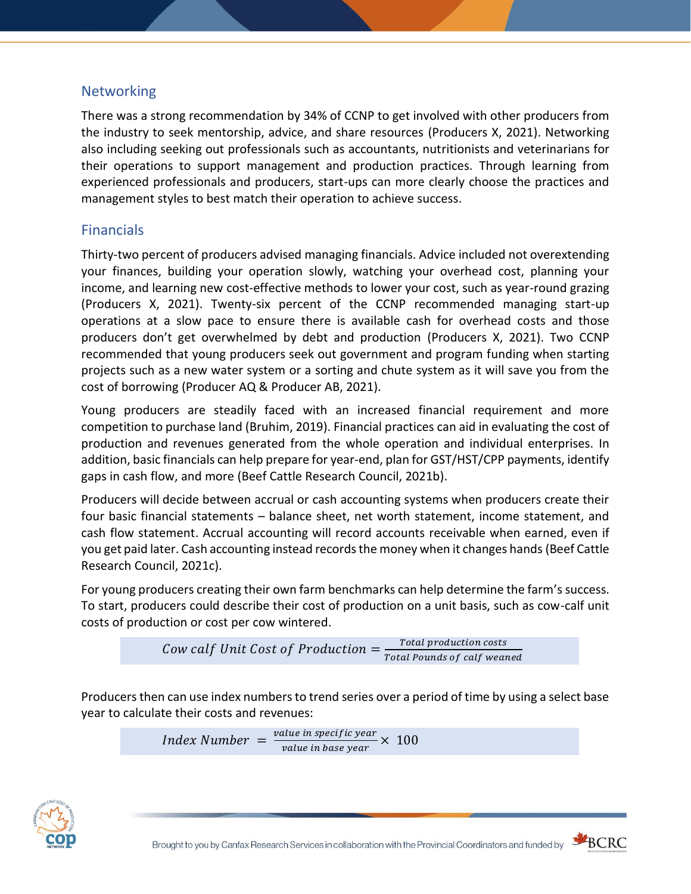# **Networking**

There was a strong recommendation by 34% of CCNP to get involved with other producers from the industry to seek mentorship, advice, and share resources (Producers X, 2021). Networking also including seeking out professionals such as accountants, nutritionists and veterinarians for their operations to support management and production practices. Through learning from experienced professionals and producers, start-ups can more clearly choose the practices and management styles to best match their operation to achieve success.

# Financials

Thirty-two percent of producers advised managing financials. Advice included not overextending your finances, building your operation slowly, watching your overhead cost, planning your income, and learning new cost-effective methods to lower your cost, such as year-round grazing (Producers X, 2021). Twenty-six percent of the CCNP recommended managing start-up operations at a slow pace to ensure there is available cash for overhead costs and those producers don't get overwhelmed by debt and production (Producers X, 2021). Two CCNP recommended that young producers seek out government and program funding when starting projects such as a new water system or a sorting and chute system as it will save you from the cost of borrowing (Producer AQ & Producer AB, 2021).

Young producers are steadily faced with an increased financial requirement and more competition to purchase land (Bruhim, 2019). Financial practices can aid in evaluating the cost of production and revenues generated from the whole operation and individual enterprises. In addition, basic financials can help prepare for year-end, plan for GST/HST/CPP payments, identify gaps in cash flow, and more (Beef Cattle Research Council, 2021b).

Producers will decide between accrual or cash accounting systems when producers create their four basic financial statements – balance sheet, net worth statement, income statement, and cash flow statement. Accrual accounting will record accounts receivable when earned, even if you get paid later. Cash accounting instead records the money when it changes hands (Beef Cattle Research Council, 2021c).

For young producers creating their own farm benchmarks can help determine the farm's success. To start, producers could describe their cost of production on a unit basis, such as cow-calf unit costs of production or cost per cow wintered.

```
Cow calf Unit Cost of Production =\frac{Total\,production\ costs}{Total\,Real\,O}}Total Pounds of calf weaned
```
Producers then can use index numbers to trend series over a period of time by using a select base year to calculate their costs and revenues:

> Index Number  $=$   $\frac{value \text{ in specific year}}{value \text{ in because } x}$  $\frac{a_{\text{true}}}{b_{\text{value}}}$  in base year  $\times$  100



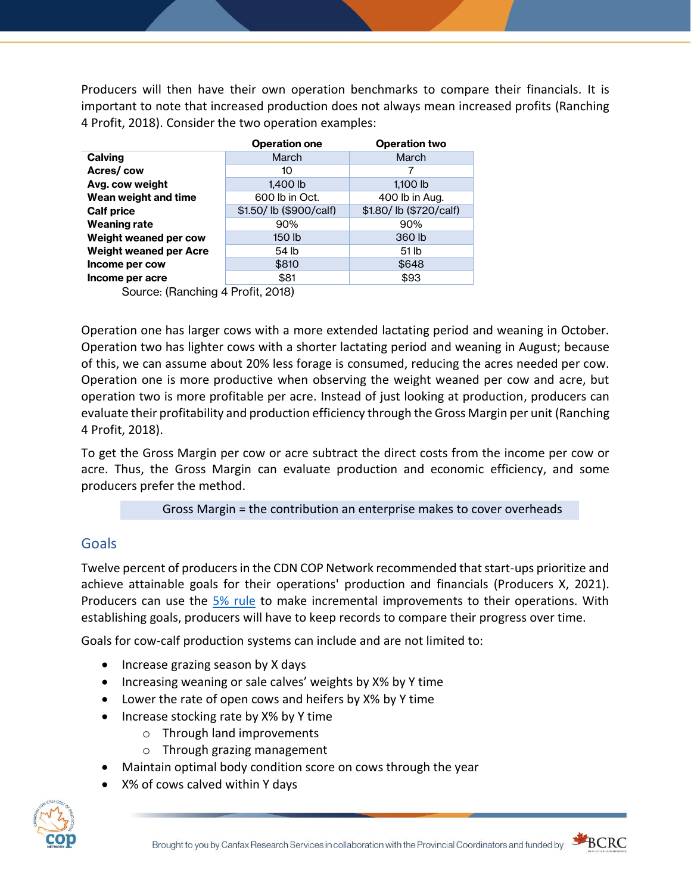Producers will then have their own operation benchmarks to compare their financials. It is important to note that increased production does not always mean increased profits (Ranching 4 Profit, 2018). Consider the two operation examples:

|                                   | <b>Operation one</b>   | <b>Operation two</b>   |
|-----------------------------------|------------------------|------------------------|
| <b>Calving</b>                    | March                  | March                  |
| Acres/cow                         | 10                     |                        |
| Avg. cow weight                   | 1,400 lb               | $1,100$ lb             |
| Wean weight and time              | 600 lb in Oct.         | 400 lb in Aug.         |
| <b>Calf price</b>                 | \$1.50/lb (\$900/calf) | \$1.80/lb (\$720/calf) |
| Weaning rate                      | 90%                    | 90%                    |
| Weight weaned per cow             | 150 lb                 | 360 lb                 |
| <b>Weight weaned per Acre</b>     | 54 lb                  | 51 lb                  |
| Income per cow                    | \$810                  | \$648                  |
| Income per acre                   | \$81                   | \$93                   |
| Source: (Ranching 4 Profit, 2018) |                        |                        |

Operation one has larger cows with a more extended lactating period and weaning in October. Operation two has lighter cows with a shorter lactating period and weaning in August; because of this, we can assume about 20% less forage is consumed, reducing the acres needed per cow. Operation one is more productive when observing the weight weaned per cow and acre, but operation two is more profitable per acre. Instead of just looking at production, producers can evaluate their profitability and production efficiency through the Gross Margin per unit (Ranching 4 Profit, 2018).

To get the Gross Margin per cow or acre subtract the direct costs from the income per cow or acre. Thus, the Gross Margin can evaluate production and economic efficiency, and some producers prefer the method.

## Gross Margin = the contribution an enterprise makes to cover overheads

# Goals

Twelve percent of producers in the CDN COP Network recommended that start-ups prioritize and achieve attainable goals for their operations' production and financials (Producers X, 2021). Producers can use the [5% rule](http://www.beefresearch.ca/blog/fivepercentrule/) to make incremental improvements to their operations. With establishing goals, producers will have to keep records to compare their progress over time.

Goals for cow-calf production systems can include and are not limited to:

- Increase grazing season by X days
- Increasing weaning or sale calves' weights by X% by Y time
- Lower the rate of open cows and heifers by X% by Y time
- Increase stocking rate by X% by Y time
	- o Through land improvements
	- o Through grazing management
- Maintain optimal body condition score on cows through the year
- X% of cows calved within Y days



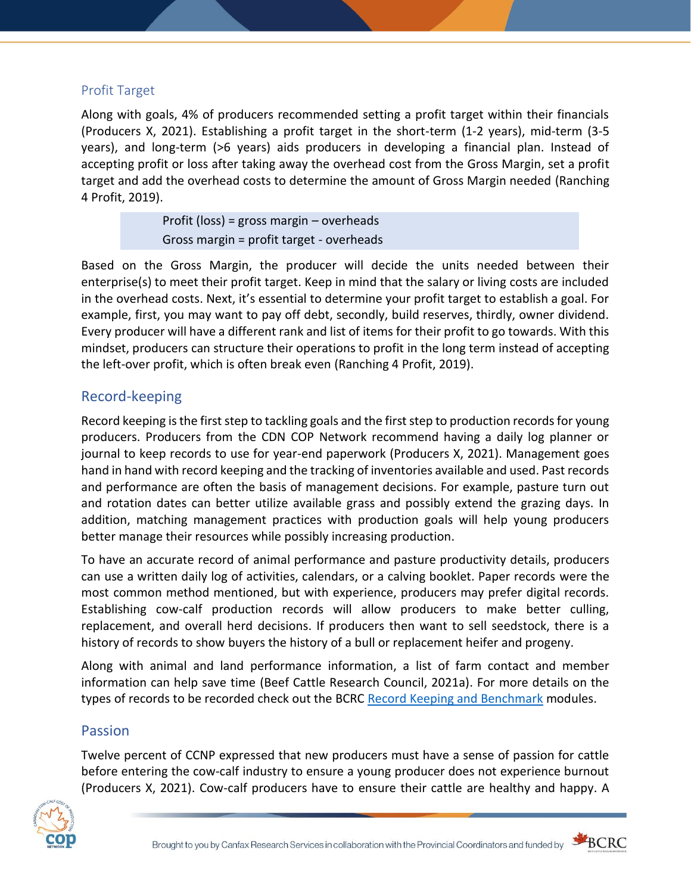#### Profit Target

Along with goals, 4% of producers recommended setting a profit target within their financials (Producers X, 2021). Establishing a profit target in the short-term (1-2 years), mid-term (3-5 years), and long-term (>6 years) aids producers in developing a financial plan. Instead of accepting profit or loss after taking away the overhead cost from the Gross Margin, set a profit target and add the overhead costs to determine the amount of Gross Margin needed (Ranching 4 Profit, 2019).

> Profit (loss) = gross margin – overheads Gross margin = profit target - overheads

Based on the Gross Margin, the producer will decide the units needed between their enterprise(s) to meet their profit target. Keep in mind that the salary or living costs are included in the overhead costs. Next, it's essential to determine your profit target to establish a goal. For example, first, you may want to pay off debt, secondly, build reserves, thirdly, owner dividend. Every producer will have a different rank and list of items for their profit to go towards. With this mindset, producers can structure their operations to profit in the long term instead of accepting the left-over profit, which is often break even (Ranching 4 Profit, 2019).

## Record-keeping

Record keeping is the first step to tackling goals and the first step to production records for young producers. Producers from the CDN COP Network recommend having a daily log planner or journal to keep records to use for year-end paperwork (Producers X, 2021). Management goes hand in hand with record keeping and the tracking of inventories available and used. Past records and performance are often the basis of management decisions. For example, pasture turn out and rotation dates can better utilize available grass and possibly extend the grazing days. In addition, matching management practices with production goals will help young producers better manage their resources while possibly increasing production.

To have an accurate record of animal performance and pasture productivity details, producers can use a written daily log of activities, calendars, or a calving booklet. Paper records were the most common method mentioned, but with experience, producers may prefer digital records. Establishing cow-calf production records will allow producers to make better culling, replacement, and overall herd decisions. If producers then want to sell seedstock, there is a history of records to show buyers the history of a bull or replacement heifer and progeny.

Along with animal and land performance information, a list of farm contact and member information can help save time (Beef Cattle Research Council, 2021a). For more details on the types of records to be recorded check out the BCRC [Record Keeping and Benchmark](http://www.beefresearch.ca/resources/recordkeeping/record-keeping-and-benchmarking-overview.cfm) modules.

## Passion

Twelve percent of CCNP expressed that new producers must have a sense of passion for cattle before entering the cow-calf industry to ensure a young producer does not experience burnout (Producers X, 2021). Cow-calf producers have to ensure their cattle are healthy and happy. A